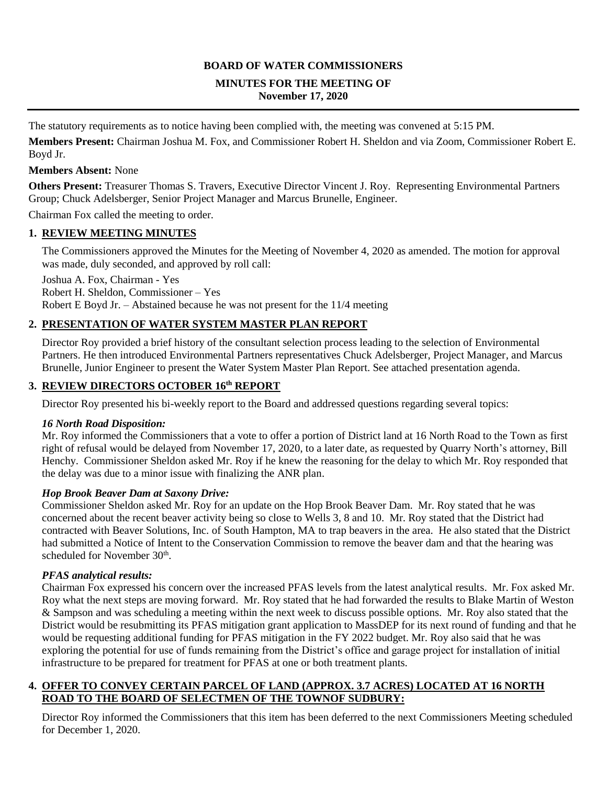#### **BOARD OF WATER COMMISSIONERS**

#### **MINUTES FOR THE MEETING OF November 17, 2020**

The statutory requirements as to notice having been complied with, the meeting was convened at 5:15 PM.

**Members Present:** Chairman Joshua M. Fox, and Commissioner Robert H. Sheldon and via Zoom, Commissioner Robert E. Boyd Jr.

#### **Members Absent:** None

**Others Present:** Treasurer Thomas S. Travers, Executive Director Vincent J. Roy. Representing Environmental Partners Group; Chuck Adelsberger, Senior Project Manager and Marcus Brunelle, Engineer.

Chairman Fox called the meeting to order.

#### **1. REVIEW MEETING MINUTES**

The Commissioners approved the Minutes for the Meeting of November 4, 2020 as amended. The motion for approval was made, duly seconded, and approved by roll call:

Joshua A. Fox, Chairman - Yes Robert H. Sheldon, Commissioner – Yes Robert E Boyd Jr. – Abstained because he was not present for the 11/4 meeting

#### **2. PRESENTATION OF WATER SYSTEM MASTER PLAN REPORT**

Director Roy provided a brief history of the consultant selection process leading to the selection of Environmental Partners. He then introduced Environmental Partners representatives Chuck Adelsberger, Project Manager, and Marcus Brunelle, Junior Engineer to present the Water System Master Plan Report. See attached presentation agenda.

#### **3. REVIEW DIRECTORS OCTOBER 16th REPORT**

Director Roy presented his bi-weekly report to the Board and addressed questions regarding several topics:

#### *16 North Road Disposition:*

Mr. Roy informed the Commissioners that a vote to offer a portion of District land at 16 North Road to the Town as first right of refusal would be delayed from November 17, 2020, to a later date, as requested by Quarry North's attorney, Bill Henchy. Commissioner Sheldon asked Mr. Roy if he knew the reasoning for the delay to which Mr. Roy responded that the delay was due to a minor issue with finalizing the ANR plan.

#### *Hop Brook Beaver Dam at Saxony Drive:*

Commissioner Sheldon asked Mr. Roy for an update on the Hop Brook Beaver Dam. Mr. Roy stated that he was concerned about the recent beaver activity being so close to Wells 3, 8 and 10. Mr. Roy stated that the District had contracted with Beaver Solutions, Inc. of South Hampton, MA to trap beavers in the area. He also stated that the District had submitted a Notice of Intent to the Conservation Commission to remove the beaver dam and that the hearing was scheduled for November 30<sup>th</sup>.

#### *PFAS analytical results:*

Chairman Fox expressed his concern over the increased PFAS levels from the latest analytical results. Mr. Fox asked Mr. Roy what the next steps are moving forward. Mr. Roy stated that he had forwarded the results to Blake Martin of Weston & Sampson and was scheduling a meeting within the next week to discuss possible options. Mr. Roy also stated that the District would be resubmitting its PFAS mitigation grant application to MassDEP for its next round of funding and that he would be requesting additional funding for PFAS mitigation in the FY 2022 budget. Mr. Roy also said that he was exploring the potential for use of funds remaining from the District's office and garage project for installation of initial infrastructure to be prepared for treatment for PFAS at one or both treatment plants.

#### **4. OFFER TO CONVEY CERTAIN PARCEL OF LAND (APPROX. 3.7 ACRES) LOCATED AT 16 NORTH ROAD TO THE BOARD OF SELECTMEN OF THE TOWNOF SUDBURY:**

Director Roy informed the Commissioners that this item has been deferred to the next Commissioners Meeting scheduled for December 1, 2020.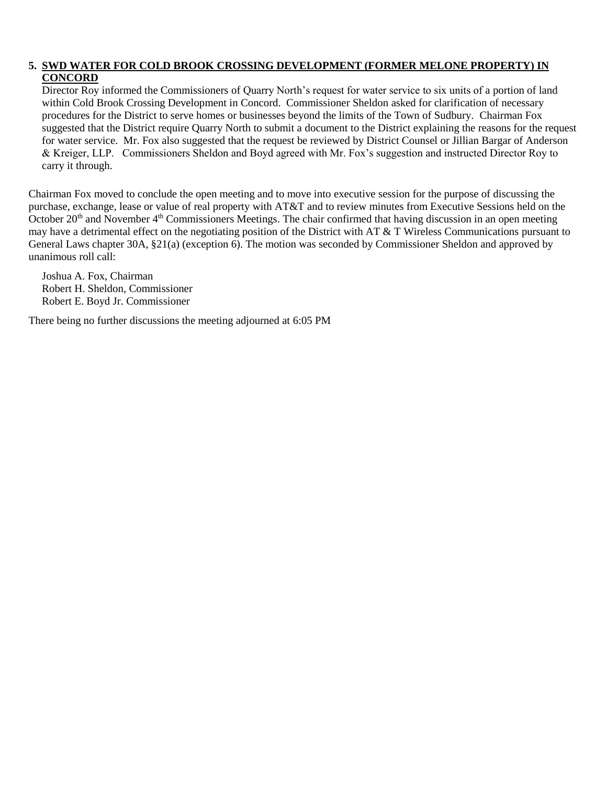#### **5. SWD WATER FOR COLD BROOK CROSSING DEVELOPMENT (FORMER MELONE PROPERTY) IN CONCORD**

Director Roy informed the Commissioners of Quarry North's request for water service to six units of a portion of land within Cold Brook Crossing Development in Concord. Commissioner Sheldon asked for clarification of necessary procedures for the District to serve homes or businesses beyond the limits of the Town of Sudbury. Chairman Fox suggested that the District require Quarry North to submit a document to the District explaining the reasons for the request for water service. Mr. Fox also suggested that the request be reviewed by District Counsel or Jillian Bargar of Anderson & Kreiger, LLP. Commissioners Sheldon and Boyd agreed with Mr. Fox's suggestion and instructed Director Roy to carry it through.

Chairman Fox moved to conclude the open meeting and to move into executive session for the purpose of discussing the purchase, exchange, lease or value of real property with AT&T and to review minutes from Executive Sessions held on the October  $20<sup>th</sup>$  and November  $4<sup>th</sup>$  Commissioners Meetings. The chair confirmed that having discussion in an open meeting may have a detrimental effect on the negotiating position of the District with AT & T Wireless Communications pursuant to General Laws chapter 30A, §21(a) (exception 6). The motion was seconded by Commissioner Sheldon and approved by unanimous roll call:

Joshua A. Fox, Chairman Robert H. Sheldon, Commissioner Robert E. Boyd Jr. Commissioner

There being no further discussions the meeting adjourned at 6:05 PM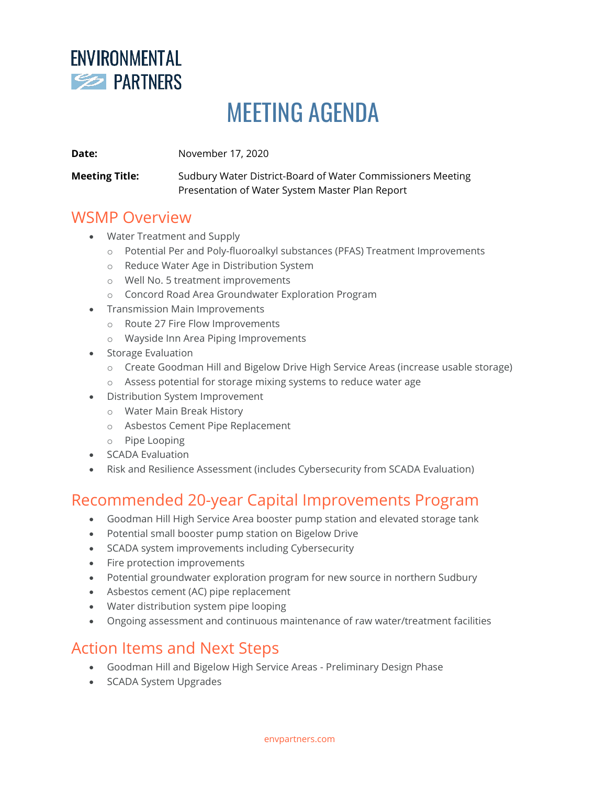

# MEETING AGENDA

**Date:** November 17, 2020

**Meeting Title:** Sudbury Water District-Board of Water Commissioners Meeting Presentation of Water System Master Plan Report

### WSMP Overview

- Water Treatment and Supply
	- o Potential Per and Poly-fluoroalkyl substances (PFAS) Treatment Improvements
	- o Reduce Water Age in Distribution System
	- o Well No. 5 treatment improvements
	- o Concord Road Area Groundwater Exploration Program
- Transmission Main Improvements
	- o Route 27 Fire Flow Improvements
		- o Wayside Inn Area Piping Improvements
- Storage Evaluation
	- o Create Goodman Hill and Bigelow Drive High Service Areas (increase usable storage)
	- o Assess potential for storage mixing systems to reduce water age
- Distribution System Improvement
	- o Water Main Break History
	- o Asbestos Cement Pipe Replacement
	- o Pipe Looping
- SCADA Evaluation
- Risk and Resilience Assessment (includes Cybersecurity from SCADA Evaluation)

### Recommended 20-year Capital Improvements Program

- Goodman Hill High Service Area booster pump station and elevated storage tank
- Potential small booster pump station on Bigelow Drive
- SCADA system improvements including Cybersecurity
- Fire protection improvements
- Potential groundwater exploration program for new source in northern Sudbury
- Asbestos cement (AC) pipe replacement
- Water distribution system pipe looping
- Ongoing assessment and continuous maintenance of raw water/treatment facilities

### Action Items and Next Steps

- Goodman Hill and Bigelow High Service Areas Preliminary Design Phase
- SCADA System Upgrades